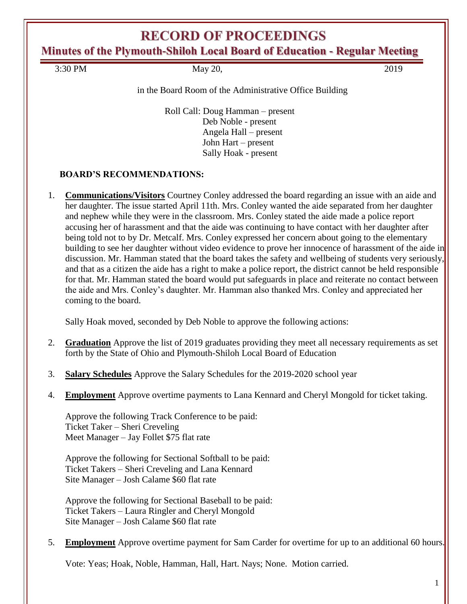# **RECORD OF PROCEEDINGS**

**Minutes of the Plymouth-Shiloh Local Board of Education - Regular Meeting**

3:30 PM May 20, 2019

in the Board Room of the Administrative Office Building

Roll Call: Doug Hamman – present Deb Noble - present Angela Hall – present John Hart – present Sally Hoak - present

### **BOARD'S RECOMMENDATIONS:**

1. **Communications/Visitors** Courtney Conley addressed the board regarding an issue with an aide and her daughter. The issue started April 11th. Mrs. Conley wanted the aide separated from her daughter and nephew while they were in the classroom. Mrs. Conley stated the aide made a police report accusing her of harassment and that the aide was continuing to have contact with her daughter after being told not to by Dr. Metcalf. Mrs. Conley expressed her concern about going to the elementary building to see her daughter without video evidence to prove her innocence of harassment of the aide in discussion. Mr. Hamman stated that the board takes the safety and wellbeing of students very seriously, and that as a citizen the aide has a right to make a police report, the district cannot be held responsible for that. Mr. Hamman stated the board would put safeguards in place and reiterate no contact between the aide and Mrs. Conley's daughter. Mr. Hamman also thanked Mrs. Conley and appreciated her coming to the board.

Sally Hoak moved, seconded by Deb Noble to approve the following actions:

- 2. **Graduation** Approve the list of 2019 graduates providing they meet all necessary requirements as set forth by the State of Ohio and Plymouth-Shiloh Local Board of Education
- 3. **Salary Schedules** Approve the Salary Schedules for the 2019-2020 school year
- 4. **Employment** Approve overtime payments to Lana Kennard and Cheryl Mongold for ticket taking.

Approve the following Track Conference to be paid: Ticket Taker – Sheri Creveling Meet Manager – Jay Follet \$75 flat rate

Approve the following for Sectional Softball to be paid: Ticket Takers – Sheri Creveling and Lana Kennard Site Manager – Josh Calame \$60 flat rate

Approve the following for Sectional Baseball to be paid: Ticket Takers – Laura Ringler and Cheryl Mongold Site Manager – Josh Calame \$60 flat rate

5. **Employment** Approve overtime payment for Sam Carder for overtime for up to an additional 60 hours.

Vote: Yeas; Hoak, Noble, Hamman, Hall, Hart. Nays; None. Motion carried.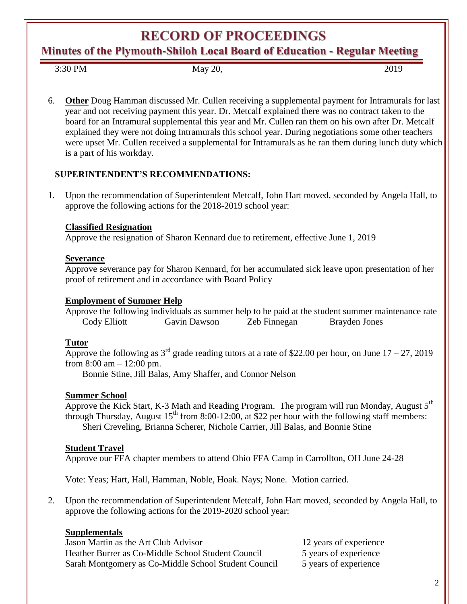**RECORD OF PROCEEDINGS** 

**Minutes of the Plymouth-Shiloh Local Board of Education - Regular Meeting**

3:30 PM May 20, 2019

6. **Other** Doug Hamman discussed Mr. Cullen receiving a supplemental payment for Intramurals for last year and not receiving payment this year. Dr. Metcalf explained there was no contract taken to the board for an Intramural supplemental this year and Mr. Cullen ran them on his own after Dr. Metcalf explained they were not doing Intramurals this school year. During negotiations some other teachers were upset Mr. Cullen received a supplemental for Intramurals as he ran them during lunch duty which is a part of his workday.

# **SUPERINTENDENT'S RECOMMENDATIONS:**

1. Upon the recommendation of Superintendent Metcalf, John Hart moved, seconded by Angela Hall, to approve the following actions for the 2018-2019 school year:

### **Classified Resignation**

Approve the resignation of Sharon Kennard due to retirement, effective June 1, 2019

### **Severance**

Approve severance pay for Sharon Kennard, for her accumulated sick leave upon presentation of her proof of retirement and in accordance with Board Policy

### **Employment of Summer Help**

Approve the following individuals as summer help to be paid at the student summer maintenance rate Cody Elliott Gavin Dawson Zeb Finnegan Brayden Jones

# **Tutor**

Approve the following as  $3<sup>rd</sup>$  grade reading tutors at a rate of \$22.00 per hour, on June 17 – 27, 2019 from  $8:00 \text{ am} - 12:00 \text{ pm}$ .

Bonnie Stine, Jill Balas, Amy Shaffer, and Connor Nelson

# **Summer School**

Approve the Kick Start, K-3 Math and Reading Program. The program will run Monday, August 5<sup>th</sup> through Thursday, August  $15<sup>th</sup>$  from 8:00-12:00, at \$22 per hour with the following staff members: Sheri Creveling, Brianna Scherer, Nichole Carrier, Jill Balas, and Bonnie Stine

# **Student Travel**

Approve our FFA chapter members to attend Ohio FFA Camp in Carrollton, OH June 24-28

Vote: Yeas; Hart, Hall, Hamman, Noble, Hoak. Nays; None. Motion carried.

2. Upon the recommendation of Superintendent Metcalf, John Hart moved, seconded by Angela Hall, to approve the following actions for the 2019-2020 school year:

# **Supplementals**

Jason Martin as the Art Club Advisor 12 years of experience Heather Burrer as Co-Middle School Student Council 5 years of experience Sarah Montgomery as Co-Middle School Student Council 5 years of experience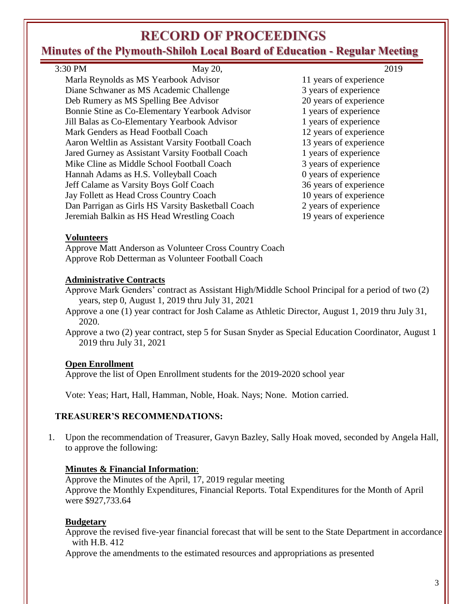# **RECORD OF PROCEEDINGS**

# **Minutes of the Plymouth-Shiloh Local Board of Education - Regular Meeting**

| 3:30 PM | May 20,                                           | 2019                   |
|---------|---------------------------------------------------|------------------------|
|         | Marla Reynolds as MS Yearbook Advisor             | 11 years of experience |
|         | Diane Schwaner as MS Academic Challenge           | 3 years of experience  |
|         | Deb Rumery as MS Spelling Bee Advisor             | 20 years of experience |
|         | Bonnie Stine as Co-Elementary Yearbook Advisor    | 1 years of experience  |
|         | Jill Balas as Co-Elementary Yearbook Advisor      | 1 years of experience  |
|         | Mark Genders as Head Football Coach               | 12 years of experience |
|         | Aaron Weltlin as Assistant Varsity Football Coach | 13 years of experience |
|         | Jared Gurney as Assistant Varsity Football Coach  | 1 years of experience  |
|         | Mike Cline as Middle School Football Coach        | 3 years of experience  |
|         | Hannah Adams as H.S. Volleyball Coach             | 0 years of experience  |
|         | Jeff Calame as Varsity Boys Golf Coach            | 36 years of experience |
|         | Jay Follett as Head Cross Country Coach           | 10 years of experience |
|         | Dan Parrigan as Girls HS Varsity Basketball Coach | 2 years of experience  |
|         | Jeremiah Balkin as HS Head Wrestling Coach        | 19 years of experience |

#### **Volunteers**

Approve Matt Anderson as Volunteer Cross Country Coach Approve Rob Detterman as Volunteer Football Coach

### **Administrative Contracts**

Approve Mark Genders' contract as Assistant High/Middle School Principal for a period of two (2) years, step 0, August 1, 2019 thru July 31, 2021

Approve a one (1) year contract for Josh Calame as Athletic Director, August 1, 2019 thru July 31, 2020.

Approve a two (2) year contract, step 5 for Susan Snyder as Special Education Coordinator, August 1 2019 thru July 31, 2021

### **Open Enrollment**

Approve the list of Open Enrollment students for the 2019-2020 school year

Vote: Yeas; Hart, Hall, Hamman, Noble, Hoak. Nays; None. Motion carried.

### **TREASURER'S RECOMMENDATIONS:**

1. Upon the recommendation of Treasurer, Gavyn Bazley, Sally Hoak moved, seconded by Angela Hall, to approve the following:

### **Minutes & Financial Information**:

Approve the Minutes of the April, 17, 2019 regular meeting Approve the Monthly Expenditures, Financial Reports. Total Expenditures for the Month of April were \$927,733.64

### **Budgetary**

Approve the revised five-year financial forecast that will be sent to the State Department in accordance with H.B. 412

Approve the amendments to the estimated resources and appropriations as presented